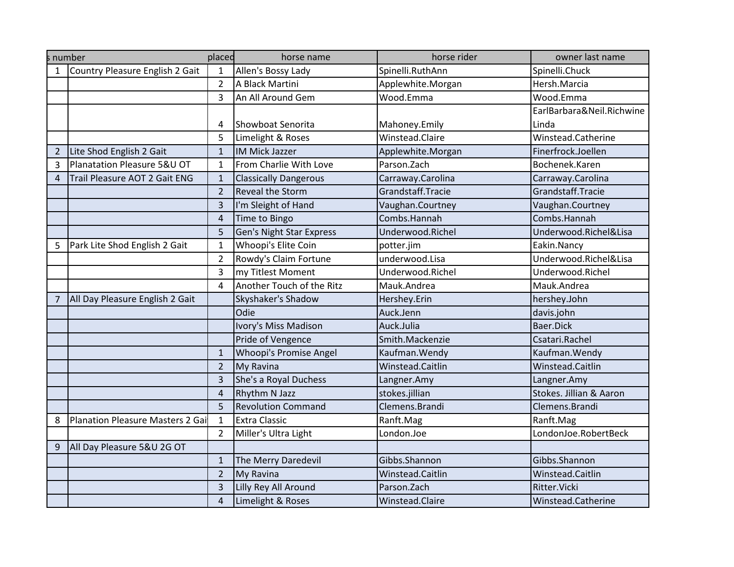|                | s number                         | placed         | horse name                      | horse rider       | owner last name           |
|----------------|----------------------------------|----------------|---------------------------------|-------------------|---------------------------|
|                | Country Pleasure English 2 Gait  | 1              | Allen's Bossy Lady              | Spinelli.RuthAnn  | Spinelli.Chuck            |
|                |                                  | $\overline{2}$ | A Black Martini                 | Applewhite.Morgan | Hersh.Marcia              |
|                |                                  | 3              | An All Around Gem               | Wood.Emma         | Wood.Emma                 |
|                |                                  |                |                                 |                   | EarlBarbara&Neil.Richwine |
|                |                                  | 4              | Showboat Senorita               | Mahoney.Emily     | Linda                     |
|                |                                  | 5              | Limelight & Roses               | Winstead.Claire   | Winstead.Catherine        |
| $\overline{2}$ | Lite Shod English 2 Gait         | $\mathbf{1}$   | <b>IM Mick Jazzer</b>           | Applewhite.Morgan | Finerfrock.Joellen        |
| 3              | Planatation Pleasure 5&U OT      | $\mathbf{1}$   | From Charlie With Love          | Parson.Zach       | Bochenek.Karen            |
| $\overline{4}$ | Trail Pleasure AOT 2 Gait ENG    | $\mathbf{1}$   | <b>Classically Dangerous</b>    | Carraway.Carolina | Carraway.Carolina         |
|                |                                  | $\overline{2}$ | <b>Reveal the Storm</b>         | Grandstaff.Tracie | Grandstaff.Tracie         |
|                |                                  | $\overline{3}$ | I'm Sleight of Hand             | Vaughan.Courtney  | Vaughan.Courtney          |
|                |                                  | $\overline{4}$ | Time to Bingo                   | Combs.Hannah      | Combs.Hannah              |
|                |                                  | 5              | <b>Gen's Night Star Express</b> | Underwood.Richel  | Underwood.Richel&Lisa     |
| 5              | Park Lite Shod English 2 Gait    | $\mathbf{1}$   | Whoopi's Elite Coin             | potter.jim        | Eakin.Nancy               |
|                |                                  | $\overline{2}$ | Rowdy's Claim Fortune           | underwood.Lisa    | Underwood.Richel&Lisa     |
|                |                                  | $\overline{3}$ | my Titlest Moment               | Underwood.Richel  | Underwood.Richel          |
|                |                                  | $\overline{4}$ | Another Touch of the Ritz       | Mauk.Andrea       | Mauk.Andrea               |
| 7              | All Day Pleasure English 2 Gait  |                | Skyshaker's Shadow              | Hershey.Erin      | hershey.John              |
|                |                                  |                | Odie                            | Auck.Jenn         | davis.john                |
|                |                                  |                | Ivory's Miss Madison            | Auck.Julia        | Baer.Dick                 |
|                |                                  |                | Pride of Vengence               | Smith.Mackenzie   | Csatari.Rachel            |
|                |                                  | $\mathbf{1}$   | Whoopi's Promise Angel          | Kaufman. Wendy    | Kaufman. Wendy            |
|                |                                  | $\overline{2}$ | My Ravina                       | Winstead.Caitlin  | Winstead.Caitlin          |
|                |                                  | $\overline{3}$ | She's a Royal Duchess           | Langner.Amy       | Langner.Amy               |
|                |                                  | $\overline{4}$ | Rhythm N Jazz                   | stokes.jillian    | Stokes. Jillian & Aaron   |
|                |                                  | 5              | <b>Revolution Command</b>       | Clemens.Brandi    | Clemens.Brandi            |
| 8              | Planation Pleasure Masters 2 Gai | $\mathbf{1}$   | <b>Extra Classic</b>            | Ranft.Mag         | Ranft.Mag                 |
|                |                                  | $\overline{2}$ | Miller's Ultra Light            | London.Joe        | LondonJoe.RobertBeck      |
| 9              | All Day Pleasure 5&U 2G OT       |                |                                 |                   |                           |
|                |                                  | $\mathbf{1}$   | The Merry Daredevil             | Gibbs.Shannon     | Gibbs.Shannon             |
|                |                                  | $\overline{2}$ | My Ravina                       | Winstead.Caitlin  | Winstead.Caitlin          |
|                |                                  | 3              | Lilly Rey All Around            | Parson.Zach       | Ritter. Vicki             |
|                |                                  | 4              | Limelight & Roses               | Winstead.Claire   | Winstead.Catherine        |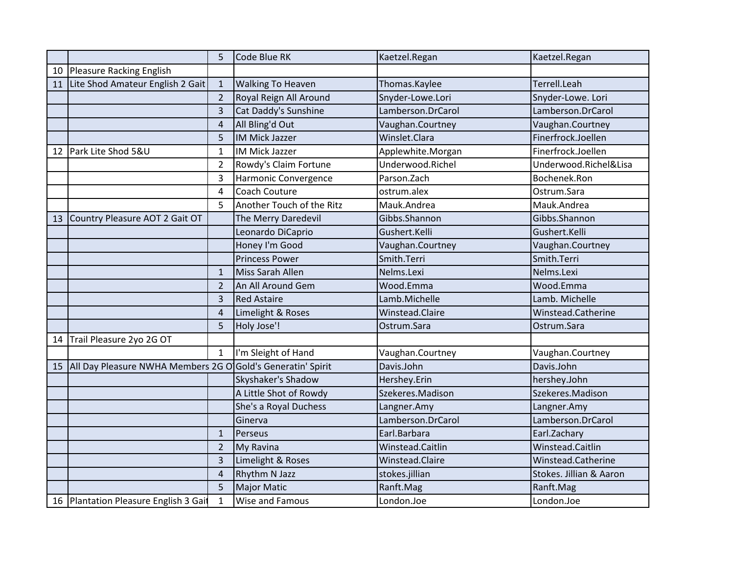|    |                                                             | 5              | Code Blue RK              | Kaetzel.Regan     | Kaetzel.Regan           |
|----|-------------------------------------------------------------|----------------|---------------------------|-------------------|-------------------------|
| 10 | Pleasure Racking English                                    |                |                           |                   |                         |
| 11 | Lite Shod Amateur English 2 Gait                            | $\mathbf{1}$   | <b>Walking To Heaven</b>  | Thomas.Kaylee     | Terrell.Leah            |
|    |                                                             | $\overline{2}$ | Royal Reign All Around    | Snyder-Lowe.Lori  | Snyder-Lowe. Lori       |
|    |                                                             | $\overline{3}$ | Cat Daddy's Sunshine      | Lamberson.DrCarol | Lamberson.DrCarol       |
|    |                                                             | 4              | All Bling'd Out           | Vaughan.Courtney  | Vaughan.Courtney        |
|    |                                                             | 5              | <b>IM Mick Jazzer</b>     | Winslet.Clara     | Finerfrock.Joellen      |
| 12 | Park Lite Shod 5&U                                          | $\mathbf{1}$   | IM Mick Jazzer            | Applewhite.Morgan | Finerfrock.Joellen      |
|    |                                                             | $\overline{2}$ | Rowdy's Claim Fortune     | Underwood.Richel  | Underwood.Richel&Lisa   |
|    |                                                             | 3              | Harmonic Convergence      | Parson.Zach       | Bochenek.Ron            |
|    |                                                             | 4              | Coach Couture             | ostrum.alex       | Ostrum.Sara             |
|    |                                                             | 5              | Another Touch of the Ritz | Mauk.Andrea       | Mauk.Andrea             |
| 13 | Country Pleasure AOT 2 Gait OT                              |                | The Merry Daredevil       | Gibbs.Shannon     | Gibbs.Shannon           |
|    |                                                             |                | Leonardo DiCaprio         | Gushert.Kelli     | Gushert.Kelli           |
|    |                                                             |                | Honey I'm Good            | Vaughan.Courtney  | Vaughan.Courtney        |
|    |                                                             |                | <b>Princess Power</b>     | Smith.Terri       | Smith.Terri             |
|    |                                                             | $\mathbf{1}$   | Miss Sarah Allen          | Nelms.Lexi        | Nelms.Lexi              |
|    |                                                             | $\overline{2}$ | An All Around Gem         | Wood.Emma         | Wood.Emma               |
|    |                                                             | 3              | <b>Red Astaire</b>        | Lamb.Michelle     | Lamb. Michelle          |
|    |                                                             | 4              | Limelight & Roses         | Winstead.Claire   | Winstead.Catherine      |
|    |                                                             | 5              | Holy Jose'!               | Ostrum.Sara       | Ostrum.Sara             |
| 14 | Trail Pleasure 2yo 2G OT                                    |                |                           |                   |                         |
|    |                                                             | $\mathbf{1}$   | I'm Sleight of Hand       | Vaughan.Courtney  | Vaughan.Courtney        |
| 15 | All Day Pleasure NWHA Members 2G O Gold's Generatin' Spirit |                |                           | Davis.John        | Davis.John              |
|    |                                                             |                | Skyshaker's Shadow        | Hershey.Erin      | hershey.John            |
|    |                                                             |                | A Little Shot of Rowdy    | Szekeres.Madison  | Szekeres.Madison        |
|    |                                                             |                | She's a Royal Duchess     | Langner.Amy       | Langner.Amy             |
|    |                                                             |                | Ginerva                   | Lamberson.DrCarol | Lamberson.DrCarol       |
|    |                                                             | $\mathbf{1}$   | Perseus                   | Earl.Barbara      | Earl.Zachary            |
|    |                                                             | $\overline{2}$ | My Ravina                 | Winstead.Caitlin  | Winstead.Caitlin        |
|    |                                                             | 3              | Limelight & Roses         | Winstead.Claire   | Winstead.Catherine      |
|    |                                                             | $\overline{4}$ | Rhythm N Jazz             | stokes.jillian    | Stokes. Jillian & Aaron |
|    |                                                             | 5              | <b>Major Matic</b>        | Ranft.Mag         | Ranft.Mag               |
|    | 16 Plantation Pleasure English 3 Gait                       | $\mathbf{1}$   | Wise and Famous           | London.Joe        | London.Joe              |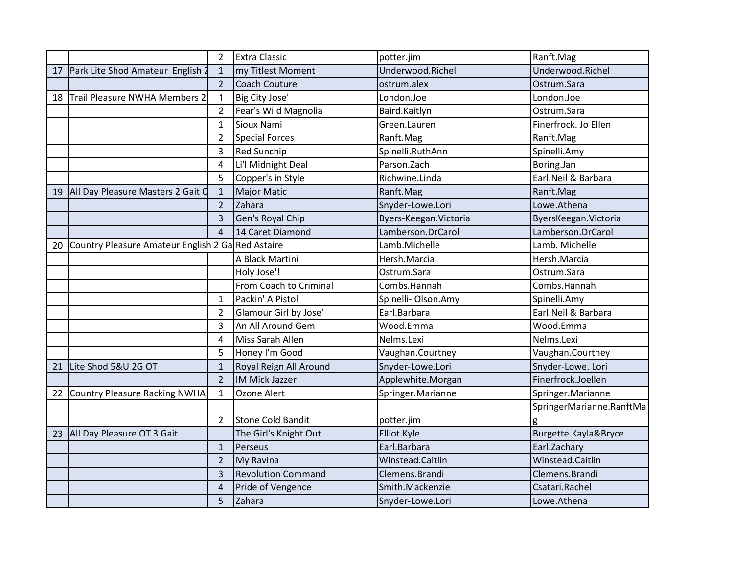|    |                                                   | $\overline{2}$ | <b>Extra Classic</b>      | potter.jim             | Ranft.Mag                |
|----|---------------------------------------------------|----------------|---------------------------|------------------------|--------------------------|
| 17 | Park Lite Shod Amateur English 2                  | $\mathbf{1}$   | my Titlest Moment         | Underwood.Richel       | Underwood.Richel         |
|    |                                                   | $\overline{2}$ | Coach Couture             | ostrum.alex            | Ostrum.Sara              |
| 18 | Trail Pleasure NWHA Members 2                     | $\overline{1}$ | Big City Jose'            | London.Joe             | London.Joe               |
|    |                                                   | $\overline{2}$ | Fear's Wild Magnolia      | Baird.Kaitlyn          | Ostrum.Sara              |
|    |                                                   | $\mathbf{1}$   | Sioux Nami                | Green.Lauren           | Finerfrock. Jo Ellen     |
|    |                                                   | $\overline{2}$ | <b>Special Forces</b>     | Ranft.Mag              | Ranft.Mag                |
|    |                                                   | 3              | <b>Red Sunchip</b>        | Spinelli.RuthAnn       | Spinelli.Amy             |
|    |                                                   | 4              | Li'l Midnight Deal        | Parson.Zach            | Boring.Jan               |
|    |                                                   | 5              | Copper's in Style         | Richwine.Linda         | Earl.Neil & Barbara      |
| 19 | All Day Pleasure Masters 2 Gait C                 | $\mathbf{1}$   | <b>Major Matic</b>        | Ranft.Mag              | Ranft.Mag                |
|    |                                                   | $\overline{2}$ | Zahara                    | Snyder-Lowe.Lori       | Lowe.Athena              |
|    |                                                   | 3              | Gen's Royal Chip          | Byers-Keegan. Victoria | ByersKeegan. Victoria    |
|    |                                                   | $\overline{a}$ | 14 Caret Diamond          | Lamberson.DrCarol      | Lamberson.DrCarol        |
| 20 | Country Pleasure Amateur English 2 Ga Red Astaire |                |                           | Lamb.Michelle          | Lamb. Michelle           |
|    |                                                   |                | A Black Martini           | Hersh.Marcia           | Hersh.Marcia             |
|    |                                                   |                | Holy Jose'!               | Ostrum.Sara            | Ostrum.Sara              |
|    |                                                   |                | From Coach to Criminal    | Combs.Hannah           | Combs.Hannah             |
|    |                                                   | $\mathbf{1}$   | Packin' A Pistol          | Spinelli- Olson.Amy    | Spinelli.Amy             |
|    |                                                   | $\overline{2}$ | Glamour Girl by Jose'     | Earl.Barbara           | Earl.Neil & Barbara      |
|    |                                                   | 3              | An All Around Gem         | Wood.Emma              | Wood.Emma                |
|    |                                                   | 4              | Miss Sarah Allen          | Nelms.Lexi             | Nelms.Lexi               |
|    |                                                   | 5              | Honey I'm Good            | Vaughan.Courtney       | Vaughan.Courtney         |
| 21 | Lite Shod 5&U 2G OT                               | $\mathbf{1}$   | Royal Reign All Around    | Snyder-Lowe.Lori       | Snyder-Lowe. Lori        |
|    |                                                   | $\overline{2}$ | <b>IM Mick Jazzer</b>     | Applewhite.Morgan      | Finerfrock.Joellen       |
| 22 | Country Pleasure Racking NWHA                     | $\mathbf{1}$   | Ozone Alert               | Springer.Marianne      | Springer.Marianne        |
|    |                                                   |                |                           |                        | SpringerMarianne.RanftMa |
|    |                                                   | 2              | <b>Stone Cold Bandit</b>  | potter.jim             | g                        |
| 23 | All Day Pleasure OT 3 Gait                        |                | The Girl's Knight Out     | Elliot.Kyle            | Burgette.Kayla&Bryce     |
|    |                                                   | $\mathbf{1}$   | Perseus                   | Earl.Barbara           | Earl.Zachary             |
|    |                                                   | $\overline{2}$ | My Ravina                 | Winstead.Caitlin       | Winstead.Caitlin         |
|    |                                                   | 3              | <b>Revolution Command</b> | Clemens.Brandi         | Clemens.Brandi           |
|    |                                                   | $\overline{4}$ | Pride of Vengence         | Smith.Mackenzie        | Csatari.Rachel           |
|    |                                                   | 5              | Zahara                    | Snyder-Lowe.Lori       | Lowe.Athena              |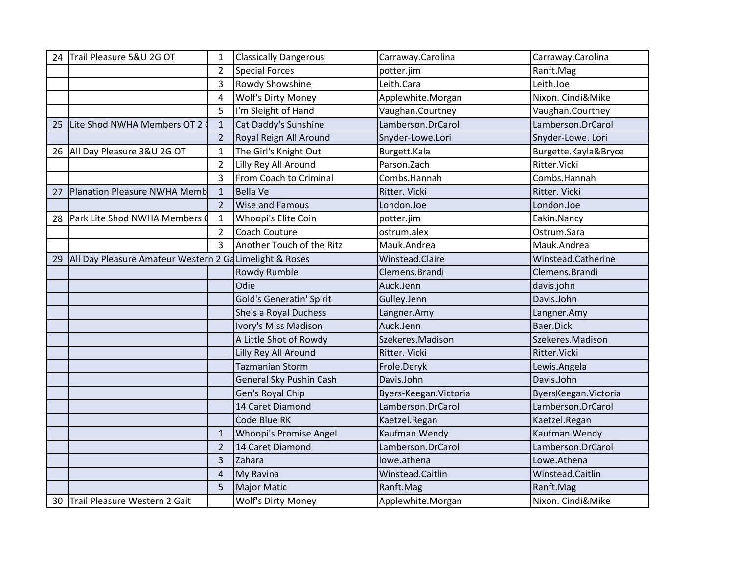| 24 | Trail Pleasure 5&U 2G OT                                | 1                        | <b>Classically Dangerous</b>    | Carraway.Carolina      | Carraway.Carolina     |
|----|---------------------------------------------------------|--------------------------|---------------------------------|------------------------|-----------------------|
|    |                                                         | $\overline{2}$           | <b>Special Forces</b>           | potter.jim             | Ranft.Mag             |
|    |                                                         | 3                        | <b>Rowdy Showshine</b>          | Leith.Cara             | Leith.Joe             |
|    |                                                         | 4                        | Wolf's Dirty Money              | Applewhite.Morgan      | Nixon. Cindi&Mike     |
|    |                                                         | 5                        | I'm Sleight of Hand             | Vaughan.Courtney       | Vaughan.Courtney      |
| 25 | Lite Shod NWHA Members OT 2                             | $\mathbf{1}$             | Cat Daddy's Sunshine            | Lamberson.DrCarol      | Lamberson.DrCarol     |
|    |                                                         | $\overline{2}$           | Royal Reign All Around          | Snyder-Lowe.Lori       | Snyder-Lowe. Lori     |
|    | 26   All Day Pleasure 3&U 2G OT                         | $\mathbf{1}$             | The Girl's Knight Out           | Burgett.Kala           | Burgette.Kayla&Bryce  |
|    |                                                         | $\overline{2}$           | Lilly Rey All Around            | Parson.Zach            | Ritter.Vicki          |
|    |                                                         | 3                        | From Coach to Criminal          | Combs.Hannah           | Combs.Hannah          |
| 27 | <b>Planation Pleasure NWHA Memb</b>                     | $\mathbf{1}$             | <b>Bella Ve</b>                 | Ritter. Vicki          | Ritter. Vicki         |
|    |                                                         | $\overline{\mathcal{L}}$ | <b>Wise and Famous</b>          | London.Joe             | London.Joe            |
|    | 28 Park Lite Shod NWHA Members 0                        | $\mathbf{1}$             | Whoopi's Elite Coin             | potter.jim             | Eakin.Nancy           |
|    |                                                         | $\overline{2}$           | Coach Couture                   | ostrum.alex            | Ostrum.Sara           |
|    |                                                         | 3                        | Another Touch of the Ritz       | Mauk.Andrea            | Mauk.Andrea           |
| 29 | All Day Pleasure Amateur Western 2 Ga Limelight & Roses |                          |                                 | Winstead.Claire        | Winstead.Catherine    |
|    |                                                         |                          | Rowdy Rumble                    | Clemens.Brandi         | Clemens.Brandi        |
|    |                                                         |                          |                                 |                        |                       |
|    |                                                         |                          | Odie                            | Auck.Jenn              | davis.john            |
|    |                                                         |                          | <b>Gold's Generatin' Spirit</b> | Gulley.Jenn            | Davis.John            |
|    |                                                         |                          | She's a Royal Duchess           | Langner.Amy            | Langner.Amy           |
|    |                                                         |                          | Ivory's Miss Madison            | Auck.Jenn              | Baer.Dick             |
|    |                                                         |                          | A Little Shot of Rowdy          | Szekeres.Madison       | Szekeres.Madison      |
|    |                                                         |                          | Lilly Rey All Around            | Ritter. Vicki          | Ritter.Vicki          |
|    |                                                         |                          | <b>Tazmanian Storm</b>          | Frole.Deryk            | Lewis.Angela          |
|    |                                                         |                          | General Sky Pushin Cash         | Davis.John             | Davis.John            |
|    |                                                         |                          | Gen's Royal Chip                | Byers-Keegan. Victoria | ByersKeegan. Victoria |
|    |                                                         |                          | 14 Caret Diamond                | Lamberson.DrCarol      | Lamberson.DrCarol     |
|    |                                                         |                          | Code Blue RK                    | Kaetzel.Regan          | Kaetzel.Regan         |
|    |                                                         | $\mathbf{1}$             | Whoopi's Promise Angel          | Kaufman. Wendy         | Kaufman. Wendy        |
|    |                                                         | $\overline{2}$           | 14 Caret Diamond                | Lamberson.DrCarol      | Lamberson.DrCarol     |
|    |                                                         | 3                        | Zahara                          | lowe.athena            | Lowe.Athena           |
|    |                                                         | 4                        | My Ravina                       | Winstead.Caitlin       | Winstead.Caitlin      |
|    |                                                         | 5                        | <b>Major Matic</b>              | Ranft.Mag              | Ranft.Mag             |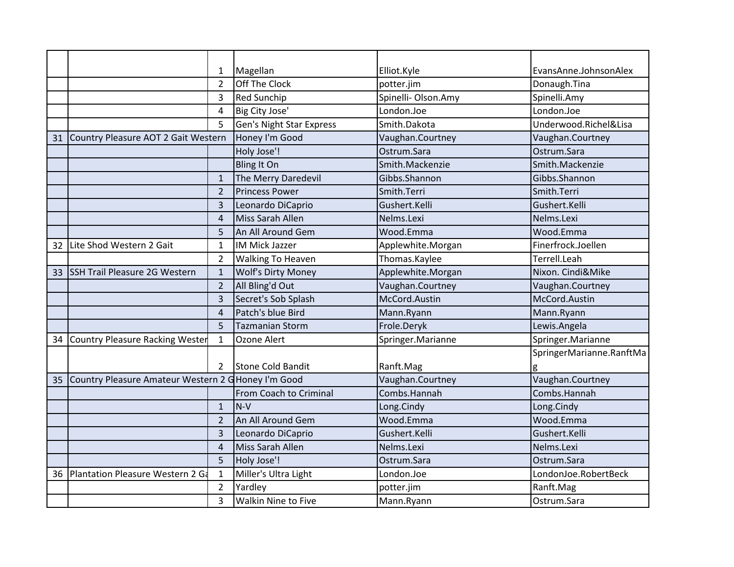|    |                                                     | 1                     | Magellan                        | Elliot.Kyle        | EvansAnne.JohnsonAlex    |
|----|-----------------------------------------------------|-----------------------|---------------------------------|--------------------|--------------------------|
|    |                                                     | $\overline{2}$        | Off The Clock                   | potter.jim         | Donaugh.Tina             |
|    |                                                     | 3                     | <b>Red Sunchip</b>              | Spinelli-Olson.Amy | Spinelli.Amy             |
|    |                                                     | 4                     | Big City Jose'                  | London.Joe         | London.Joe               |
|    |                                                     | 5                     | <b>Gen's Night Star Express</b> | Smith.Dakota       | Underwood.Richel&Lisa    |
| 31 | Country Pleasure AOT 2 Gait Western                 |                       | Honey I'm Good                  | Vaughan.Courtney   | Vaughan.Courtney         |
|    |                                                     |                       | Holy Jose'!                     | Ostrum.Sara        | Ostrum.Sara              |
|    |                                                     |                       | <b>Bling It On</b>              | Smith.Mackenzie    | Smith.Mackenzie          |
|    |                                                     | $\mathbf{1}$          | The Merry Daredevil             | Gibbs.Shannon      | Gibbs.Shannon            |
|    |                                                     | $\overline{2}$        | <b>Princess Power</b>           | Smith.Terri        | Smith.Terri              |
|    |                                                     | 3                     | Leonardo DiCaprio               | Gushert.Kelli      | Gushert.Kelli            |
|    |                                                     | 4                     | Miss Sarah Allen                | Nelms.Lexi         | Nelms.Lexi               |
|    |                                                     | 5                     | An All Around Gem               | Wood.Emma          | Wood.Emma                |
| 32 | Lite Shod Western 2 Gait                            | 1                     | <b>IM Mick Jazzer</b>           | Applewhite.Morgan  | Finerfrock.Joellen       |
|    |                                                     | $\overline{2}$        | <b>Walking To Heaven</b>        | Thomas.Kaylee      | Terrell.Leah             |
| 33 | <b>SSH Trail Pleasure 2G Western</b>                | $\mathbf{1}$          | <b>Wolf's Dirty Money</b>       | Applewhite.Morgan  | Nixon. Cindi&Mike        |
|    |                                                     | $\overline{2}$        | All Bling'd Out                 | Vaughan.Courtney   | Vaughan.Courtney         |
|    |                                                     | 3                     | Secret's Sob Splash             | McCord.Austin      | McCord.Austin            |
|    |                                                     | $\boldsymbol{\Delta}$ | Patch's blue Bird               | Mann.Ryann         | Mann.Ryann               |
|    |                                                     | 5                     | <b>Tazmanian Storm</b>          | Frole.Deryk        | Lewis. Angela            |
| 34 | <b>Country Pleasure Racking Wester</b>              | 1                     | Ozone Alert                     | Springer.Marianne  | Springer.Marianne        |
|    |                                                     |                       |                                 |                    | SpringerMarianne.RanftMa |
|    |                                                     | 2                     | Stone Cold Bandit               | Ranft.Mag          | g                        |
| 35 | Country Pleasure Amateur Western 2 G Honey I'm Good |                       |                                 | Vaughan.Courtney   | Vaughan.Courtney         |
|    |                                                     |                       | From Coach to Criminal          | Combs.Hannah       | Combs.Hannah             |
|    |                                                     | $\mathbf{1}$          | $N-V$                           | Long.Cindy         | Long.Cindy               |
|    |                                                     | $\overline{2}$        | An All Around Gem               | Wood.Emma          | Wood.Emma                |
|    |                                                     | 3                     | Leonardo DiCaprio               | Gushert.Kelli      | Gushert.Kelli            |
|    |                                                     | $\overline{4}$        | Miss Sarah Allen                | Nelms.Lexi         | Nelms.Lexi               |
|    |                                                     | 5                     | Holy Jose'!                     | Ostrum.Sara        | Ostrum.Sara              |
| 36 | Plantation Pleasure Western 2 Ga                    | 1                     | Miller's Ultra Light            | London.Joe         | LondonJoe.RobertBeck     |
|    |                                                     | $\overline{2}$        | Yardley                         | potter.jim         | Ranft.Mag                |
|    |                                                     | 3                     | <b>Walkin Nine to Five</b>      | Mann.Ryann         | Ostrum.Sara              |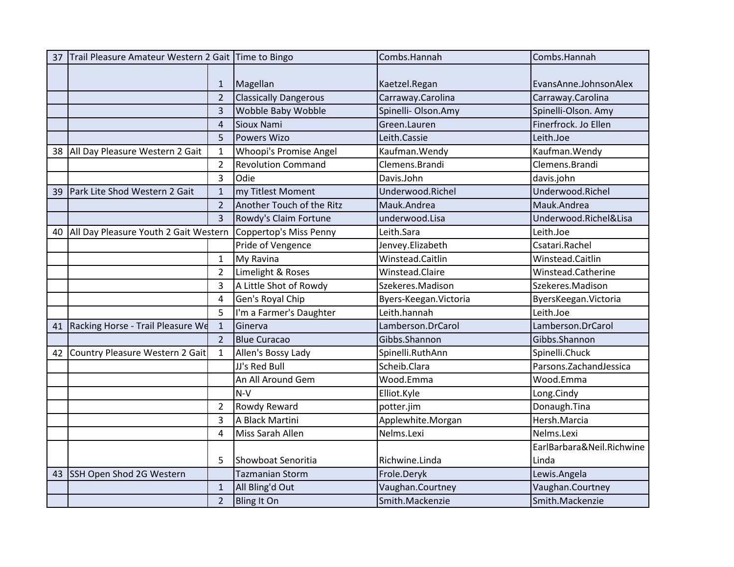| 37 | Trail Pleasure Amateur Western 2 Gait Time to Bingo |                |                              | Combs.Hannah           | Combs.Hannah              |
|----|-----------------------------------------------------|----------------|------------------------------|------------------------|---------------------------|
|    |                                                     |                |                              |                        |                           |
|    |                                                     | 1              | Magellan                     | Kaetzel.Regan          | EvansAnne.JohnsonAlex     |
|    |                                                     | $\overline{2}$ | <b>Classically Dangerous</b> | Carraway.Carolina      | Carraway.Carolina         |
|    |                                                     | 3              | Wobble Baby Wobble           | Spinelli-Olson.Amy     | Spinelli-Olson. Amy       |
|    |                                                     | $\overline{4}$ | Sioux Nami                   | Green.Lauren           | Finerfrock. Jo Ellen      |
|    |                                                     | 5              | <b>Powers Wizo</b>           | Leith.Cassie           | Leith.Joe                 |
| 38 | All Day Pleasure Western 2 Gait                     | $\mathbf{1}$   | Whoopi's Promise Angel       | Kaufman. Wendy         | Kaufman. Wendy            |
|    |                                                     | $\overline{2}$ | <b>Revolution Command</b>    | Clemens.Brandi         | Clemens.Brandi            |
|    |                                                     | 3              | Odie                         | Davis.John             | davis.john                |
| 39 | Park Lite Shod Western 2 Gait                       | $\mathbf{1}$   | my Titlest Moment            | Underwood.Richel       | Underwood.Richel          |
|    |                                                     | $\overline{2}$ | Another Touch of the Ritz    | Mauk.Andrea            | Mauk.Andrea               |
|    |                                                     | 3              | Rowdy's Claim Fortune        | underwood.Lisa         | Underwood.Richel&Lisa     |
| 40 | All Day Pleasure Youth 2 Gait Western               |                | Coppertop's Miss Penny       | Leith.Sara             | Leith.Joe                 |
|    |                                                     |                | Pride of Vengence            | Jenvey.Elizabeth       | Csatari.Rachel            |
|    |                                                     | 1              | My Ravina                    | Winstead.Caitlin       | Winstead.Caitlin          |
|    |                                                     | $\overline{2}$ | Limelight & Roses            | Winstead.Claire        | Winstead.Catherine        |
|    |                                                     | 3              | A Little Shot of Rowdy       | Szekeres.Madison       | Szekeres.Madison          |
|    |                                                     | 4              | Gen's Royal Chip             | Byers-Keegan. Victoria | ByersKeegan. Victoria     |
|    |                                                     | 5              | I'm a Farmer's Daughter      | Leith.hannah           | Leith.Joe                 |
| 41 | Racking Horse - Trail Pleasure We                   | $\mathbf{1}$   | Ginerva                      | Lamberson.DrCarol      | Lamberson.DrCarol         |
|    |                                                     | $\overline{2}$ | <b>Blue Curacao</b>          | Gibbs.Shannon          | Gibbs.Shannon             |
| 42 | Country Pleasure Western 2 Gait                     | $\mathbf{1}$   | Allen's Bossy Lady           | Spinelli.RuthAnn       | Spinelli.Chuck            |
|    |                                                     |                | JJ's Red Bull                | Scheib.Clara           | Parsons.ZachandJessica    |
|    |                                                     |                | An All Around Gem            | Wood.Emma              | Wood.Emma                 |
|    |                                                     |                | $N-V$                        | Elliot.Kyle            | Long.Cindy                |
|    |                                                     | $\overline{2}$ | Rowdy Reward                 | potter.jim             | Donaugh.Tina              |
|    |                                                     | 3              | A Black Martini              | Applewhite.Morgan      | Hersh.Marcia              |
|    |                                                     | 4              | Miss Sarah Allen             | Nelms.Lexi             | Nelms.Lexi                |
|    |                                                     |                |                              |                        | EarlBarbara&Neil.Richwine |
|    |                                                     | 5              | Showboat Senoritia           | Richwine.Linda         | Linda                     |
| 43 | <b>SSH Open Shod 2G Western</b>                     |                | <b>Tazmanian Storm</b>       | Frole.Deryk            | Lewis.Angela              |
|    |                                                     | $\mathbf 1$    | All Bling'd Out              | Vaughan.Courtney       | Vaughan.Courtney          |
|    |                                                     | $\overline{2}$ | <b>Bling It On</b>           | Smith.Mackenzie        | Smith.Mackenzie           |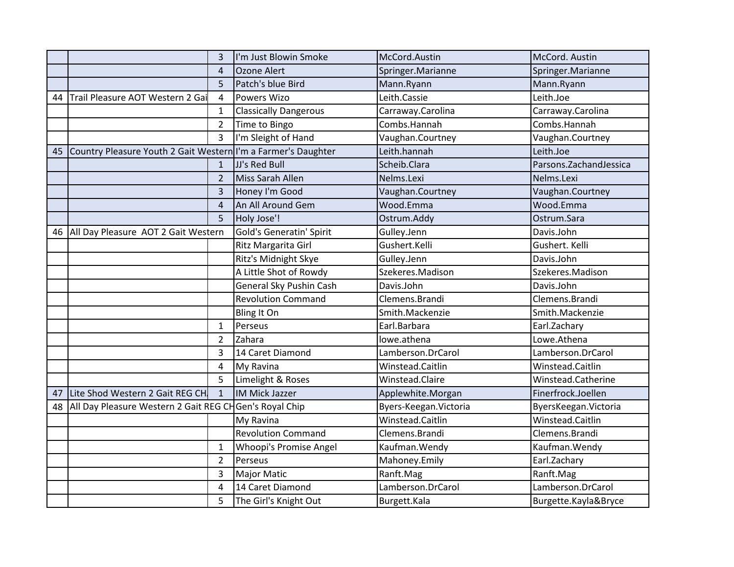|    |                                                               | 3                       | I'm Just Blowin Smoke         | McCord.Austin          | McCord. Austin           |
|----|---------------------------------------------------------------|-------------------------|-------------------------------|------------------------|--------------------------|
|    |                                                               | 4                       | Ozone Alert                   | Springer.Marianne      | Springer.Marianne        |
|    |                                                               | 5                       | Patch's blue Bird             | Mann.Ryann             | Mann.Ryann               |
| 44 | Trail Pleasure AOT Western 2 Ga                               | $\overline{\mathbf{A}}$ | <b>Powers Wizo</b>            | Leith.Cassie           | Leith.Joe                |
|    |                                                               | $\mathbf{1}$            | <b>Classically Dangerous</b>  | Carraway.Carolina      | Carraway.Carolina        |
|    |                                                               | $\overline{2}$          | Time to Bingo                 | Combs.Hannah           | Combs.Hannah             |
|    |                                                               | 3                       | I'm Sleight of Hand           | Vaughan.Courtney       | Vaughan.Courtney         |
| 45 | Country Pleasure Youth 2 Gait Western I'm a Farmer's Daughter |                         |                               | Leith.hannah           | Leith.Joe                |
|    |                                                               | $\mathbf{1}$            | JJ's Red Bull                 | Scheib.Clara           | Parsons. Zachand Jessica |
|    |                                                               | $\overline{2}$          | Miss Sarah Allen              | Nelms.Lexi             | Nelms.Lexi               |
|    |                                                               | 3                       | Honey I'm Good                | Vaughan.Courtney       | Vaughan.Courtney         |
|    |                                                               | $\boldsymbol{\Delta}$   | An All Around Gem             | Wood.Emma              | Wood.Emma                |
|    |                                                               | 5                       | Holy Jose'!                   | Ostrum.Addy            | Ostrum.Sara              |
| 46 | All Day Pleasure AOT 2 Gait Western                           |                         | Gold's Generatin' Spirit      | Gulley.Jenn            | Davis.John               |
|    |                                                               |                         | Ritz Margarita Girl           | Gushert.Kelli          | Gushert. Kelli           |
|    |                                                               |                         | Ritz's Midnight Skye          | Gulley.Jenn            | Davis.John               |
|    |                                                               |                         | A Little Shot of Rowdy        | Szekeres.Madison       | Szekeres.Madison         |
|    |                                                               |                         | General Sky Pushin Cash       | Davis.John             | Davis.John               |
|    |                                                               |                         | <b>Revolution Command</b>     | Clemens.Brandi         | Clemens.Brandi           |
|    |                                                               |                         | Bling It On                   | Smith.Mackenzie        | Smith.Mackenzie          |
|    |                                                               | 1                       | Perseus                       | Earl.Barbara           | Earl.Zachary             |
|    |                                                               | $\overline{2}$          | Zahara                        | lowe.athena            | Lowe.Athena              |
|    |                                                               | 3                       | 14 Caret Diamond              | Lamberson.DrCarol      | Lamberson.DrCarol        |
|    |                                                               | 4                       | My Ravina                     | Winstead.Caitlin       | Winstead.Caitlin         |
|    |                                                               | 5                       | Limelight & Roses             | Winstead.Claire        | Winstead.Catherine       |
| 47 | Lite Shod Western 2 Gait REG CH                               | $\mathbf{1}$            | <b>IM Mick Jazzer</b>         | Applewhite.Morgan      | Finerfrock.Joellen       |
| 48 | All Day Pleasure Western 2 Gait REG CHGen's Royal Chip        |                         |                               | Byers-Keegan. Victoria | ByersKeegan. Victoria    |
|    |                                                               |                         | My Ravina                     | Winstead.Caitlin       | Winstead.Caitlin         |
|    |                                                               |                         | <b>Revolution Command</b>     | Clemens.Brandi         | Clemens.Brandi           |
|    |                                                               | 1                       | <b>Whoopi's Promise Angel</b> | Kaufman. Wendy         | Kaufman. Wendy           |
|    |                                                               | $\overline{2}$          | Perseus                       | Mahoney.Emily          | Earl.Zachary             |
|    |                                                               | 3                       | <b>Major Matic</b>            | Ranft.Mag              | Ranft.Mag                |
|    |                                                               | 4                       | 14 Caret Diamond              | Lamberson.DrCarol      | Lamberson.DrCarol        |
|    |                                                               | 5                       | The Girl's Knight Out         | Burgett.Kala           | Burgette.Kayla&Bryce     |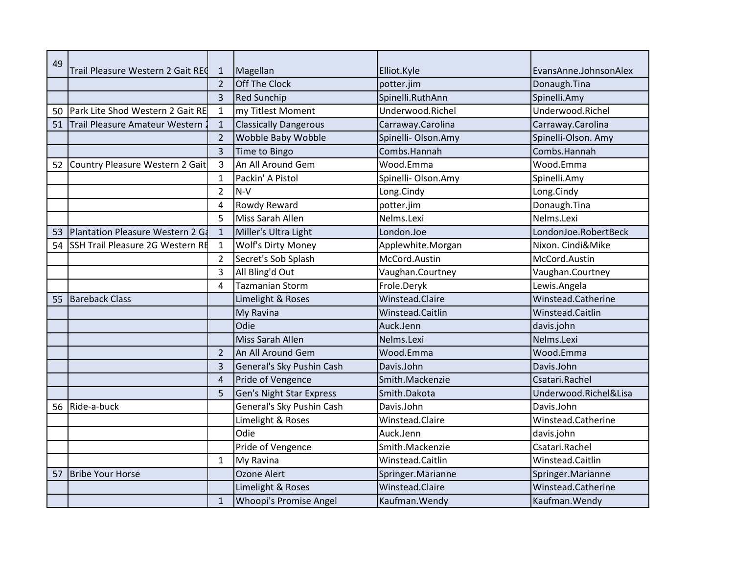| 49 |                                         |                |                                 |                     |                       |
|----|-----------------------------------------|----------------|---------------------------------|---------------------|-----------------------|
|    | Trail Pleasure Western 2 Gait REC       | $\mathbf{1}$   | Magellan                        | Elliot.Kyle         | EvansAnne.JohnsonAlex |
|    |                                         | $\overline{2}$ | Off The Clock                   | potter.jim          | Donaugh.Tina          |
|    |                                         | 3              | <b>Red Sunchip</b>              | Spinelli.RuthAnn    | Spinelli.Amy          |
| 50 | Park Lite Shod Western 2 Gait RE        | $\mathbf{1}$   | my Titlest Moment               | Underwood.Richel    | Underwood.Richel      |
| 51 | Trail Pleasure Amateur Western          | $\mathbf{1}$   | <b>Classically Dangerous</b>    | Carraway.Carolina   | Carraway.Carolina     |
|    |                                         | $\overline{2}$ | Wobble Baby Wobble              | Spinelli- Olson.Amy | Spinelli-Olson. Amy   |
|    |                                         | 3              | Time to Bingo                   | Combs.Hannah        | Combs.Hannah          |
| 52 | Country Pleasure Western 2 Gait         | 3              | An All Around Gem               | Wood.Emma           | Wood.Emma             |
|    |                                         | 1              | Packin' A Pistol                | Spinelli- Olson.Amy | Spinelli.Amy          |
|    |                                         | $\overline{2}$ | $N-V$                           | Long.Cindy          | Long.Cindy            |
|    |                                         | 4              | Rowdy Reward                    | potter.jim          | Donaugh.Tina          |
|    |                                         | 5              | Miss Sarah Allen                | Nelms.Lexi          | Nelms.Lexi            |
| 53 | Plantation Pleasure Western 2 Ga        | $\mathbf{1}$   | Miller's Ultra Light            | London.Joe          | LondonJoe.RobertBeck  |
| 54 | <b>SSH Trail Pleasure 2G Western RE</b> | 1              | Wolf's Dirty Money              | Applewhite.Morgan   | Nixon. Cindi&Mike     |
|    |                                         | $\overline{2}$ | Secret's Sob Splash             | McCord.Austin       | McCord.Austin         |
|    |                                         | 3              | All Bling'd Out                 | Vaughan.Courtney    | Vaughan.Courtney      |
|    |                                         | 4              | <b>Tazmanian Storm</b>          | Frole.Deryk         | Lewis.Angela          |
| 55 | <b>Bareback Class</b>                   |                | Limelight & Roses               | Winstead.Claire     | Winstead.Catherine    |
|    |                                         |                | My Ravina                       | Winstead.Caitlin    | Winstead.Caitlin      |
|    |                                         |                | Odie                            | Auck.Jenn           | davis.john            |
|    |                                         |                | Miss Sarah Allen                | Nelms.Lexi          | Nelms.Lexi            |
|    |                                         | $\overline{2}$ | An All Around Gem               | Wood.Emma           | Wood.Emma             |
|    |                                         | 3              | General's Sky Pushin Cash       | Davis.John          | Davis.John            |
|    |                                         | $\overline{4}$ | Pride of Vengence               | Smith.Mackenzie     | Csatari.Rachel        |
|    |                                         | 5              | <b>Gen's Night Star Express</b> | Smith.Dakota        | Underwood.Richel&Lisa |
| 56 | Ride-a-buck                             |                | General's Sky Pushin Cash       | Davis.John          | Davis.John            |
|    |                                         |                | Limelight & Roses               | Winstead.Claire     | Winstead.Catherine    |
|    |                                         |                | Odie                            | Auck.Jenn           | davis.john            |
|    |                                         |                | Pride of Vengence               | Smith.Mackenzie     | Csatari.Rachel        |
|    |                                         | 1              | My Ravina                       | Winstead.Caitlin    | Winstead.Caitlin      |
| 57 | <b>Bribe Your Horse</b>                 |                | <b>Ozone Alert</b>              | Springer.Marianne   | Springer.Marianne     |
|    |                                         |                | Limelight & Roses               | Winstead.Claire     | Winstead.Catherine    |
|    |                                         | $\mathbf 1$    | Whoopi's Promise Angel          | Kaufman. Wendy      | Kaufman. Wendy        |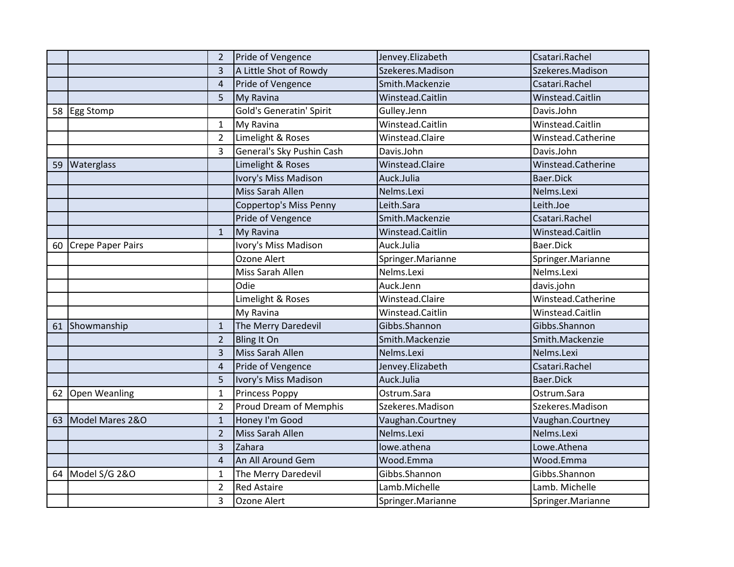|    |                   | 2              | Pride of Vengence               | Jenvey.Elizabeth  | Csatari.Rachel     |
|----|-------------------|----------------|---------------------------------|-------------------|--------------------|
|    |                   | 3              | A Little Shot of Rowdy          | Szekeres.Madison  | Szekeres.Madison   |
|    |                   | $\overline{4}$ | Pride of Vengence               | Smith.Mackenzie   | Csatari.Rachel     |
|    |                   | 5              | My Ravina                       | Winstead.Caitlin  | Winstead.Caitlin   |
|    | 58 Egg Stomp      |                | <b>Gold's Generatin' Spirit</b> | Gulley.Jenn       | Davis.John         |
|    |                   | 1              | My Ravina                       | Winstead.Caitlin  | Winstead.Caitlin   |
|    |                   | $\overline{2}$ | Limelight & Roses               | Winstead.Claire   | Winstead.Catherine |
|    |                   | 3              | General's Sky Pushin Cash       | Davis.John        | Davis.John         |
| 59 | Waterglass        |                | Limelight & Roses               | Winstead.Claire   | Winstead.Catherine |
|    |                   |                | Ivory's Miss Madison            | Auck.Julia        | Baer.Dick          |
|    |                   |                | Miss Sarah Allen                | Nelms.Lexi        | Nelms.Lexi         |
|    |                   |                | Coppertop's Miss Penny          | Leith.Sara        | Leith.Joe          |
|    |                   |                | Pride of Vengence               | Smith.Mackenzie   | Csatari.Rachel     |
|    |                   | $\mathbf{1}$   | My Ravina                       | Winstead.Caitlin  | Winstead.Caitlin   |
| 60 | Crepe Paper Pairs |                | Ivory's Miss Madison            | Auck.Julia        | Baer.Dick          |
|    |                   |                | Ozone Alert                     | Springer.Marianne | Springer.Marianne  |
|    |                   |                | Miss Sarah Allen                | Nelms.Lexi        | Nelms.Lexi         |
|    |                   |                | Odie                            | Auck.Jenn         | davis.john         |
|    |                   |                | Limelight & Roses               | Winstead.Claire   | Winstead.Catherine |
|    |                   |                | My Ravina                       | Winstead.Caitlin  | Winstead.Caitlin   |
| 61 | Showmanship       | $\mathbf{1}$   | The Merry Daredevil             | Gibbs.Shannon     | Gibbs.Shannon      |
|    |                   | $\overline{2}$ | Bling It On                     | Smith.Mackenzie   | Smith.Mackenzie    |
|    |                   | 3              | Miss Sarah Allen                | Nelms.Lexi        | Nelms.Lexi         |
|    |                   | $\overline{4}$ | Pride of Vengence               | Jenvey.Elizabeth  | Csatari.Rachel     |
|    |                   | 5              | Ivory's Miss Madison            | Auck.Julia        | Baer.Dick          |
| 62 | Open Weanling     | $\mathbf{1}$   | <b>Princess Poppy</b>           | Ostrum.Sara       | Ostrum.Sara        |
|    |                   | $\overline{2}$ | <b>Proud Dream of Memphis</b>   | Szekeres.Madison  | Szekeres.Madison   |
| 63 | Model Mares 2&O   | $\mathbf{1}$   | Honey I'm Good                  | Vaughan.Courtney  | Vaughan.Courtney   |
|    |                   | $\overline{2}$ | Miss Sarah Allen                | Nelms.Lexi        | Nelms.Lexi         |
|    |                   | 3              | Zahara                          | lowe.athena       | Lowe.Athena        |
|    |                   | $\overline{a}$ | An All Around Gem               | Wood.Emma         | Wood.Emma          |
|    |                   |                |                                 |                   |                    |
| 64 | Model S/G 2&O     | $\mathbf{1}$   | The Merry Daredevil             | Gibbs.Shannon     | Gibbs.Shannon      |
|    |                   | $\overline{2}$ | <b>Red Astaire</b>              | Lamb.Michelle     | Lamb. Michelle     |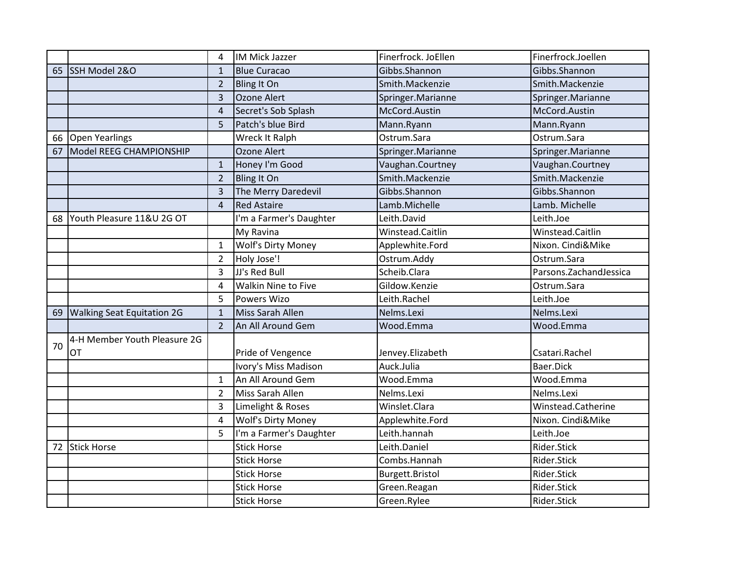|    |                                   | 4              | IM Mick Jazzer             | Finerfrock. JoEllen | Finerfrock.Joellen       |
|----|-----------------------------------|----------------|----------------------------|---------------------|--------------------------|
| 65 | SSH Model 2&O                     | $\mathbf{1}$   | <b>Blue Curacao</b>        | Gibbs.Shannon       | Gibbs.Shannon            |
|    |                                   | $\overline{2}$ | <b>Bling It On</b>         | Smith.Mackenzie     | Smith.Mackenzie          |
|    |                                   | 3              | Ozone Alert                | Springer.Marianne   | Springer.Marianne        |
|    |                                   | 4              | Secret's Sob Splash        | McCord.Austin       | McCord.Austin            |
|    |                                   | 5              | Patch's blue Bird          | Mann.Ryann          | Mann.Ryann               |
| 66 | <b>Open Yearlings</b>             |                | Wreck It Ralph             | Ostrum.Sara         | Ostrum.Sara              |
| 67 | Model REEG CHAMPIONSHIP           |                | Ozone Alert                | Springer.Marianne   | Springer.Marianne        |
|    |                                   | $\mathbf{1}$   | Honey I'm Good             | Vaughan.Courtney    | Vaughan.Courtney         |
|    |                                   | $\overline{2}$ | <b>Bling It On</b>         | Smith.Mackenzie     | Smith.Mackenzie          |
|    |                                   | $\overline{3}$ | The Merry Daredevil        | Gibbs.Shannon       | Gibbs.Shannon            |
|    |                                   | 4              | <b>Red Astaire</b>         | Lamb.Michelle       | Lamb. Michelle           |
| 68 | Youth Pleasure 11&U 2G OT         |                | I'm a Farmer's Daughter    | Leith.David         | Leith.Joe                |
|    |                                   |                | My Ravina                  | Winstead.Caitlin    | Winstead.Caitlin         |
|    |                                   | $\mathbf{1}$   | <b>Wolf's Dirty Money</b>  | Applewhite.Ford     | Nixon. Cindi&Mike        |
|    |                                   | $\overline{2}$ | Holy Jose'!                | Ostrum.Addy         | Ostrum.Sara              |
|    |                                   | 3              | JJ's Red Bull              | Scheib.Clara        | Parsons. Zachand Jessica |
|    |                                   | $\overline{4}$ | <b>Walkin Nine to Five</b> | Gildow.Kenzie       | Ostrum.Sara              |
|    |                                   | 5              | <b>Powers Wizo</b>         | Leith.Rachel        | Leith.Joe                |
| 69 | <b>Walking Seat Equitation 2G</b> | $\mathbf{1}$   | Miss Sarah Allen           | Nelms.Lexi          | Nelms.Lexi               |
|    |                                   | $\overline{2}$ | An All Around Gem          | Wood.Emma           | Wood.Emma                |
| 70 | 4-H Member Youth Pleasure 2G      |                |                            |                     |                          |
|    | OT                                |                | Pride of Vengence          | Jenvey.Elizabeth    | Csatari.Rachel           |
|    |                                   |                | Ivory's Miss Madison       | Auck.Julia          | Baer.Dick                |
|    |                                   | $\mathbf{1}$   | An All Around Gem          | Wood.Emma           | Wood.Emma                |
|    |                                   | $\overline{2}$ | Miss Sarah Allen           | Nelms.Lexi          | Nelms.Lexi               |
|    |                                   | 3              | Limelight & Roses          | Winslet.Clara       | Winstead.Catherine       |
|    |                                   | 4              | <b>Wolf's Dirty Money</b>  | Applewhite.Ford     | Nixon. Cindi&Mike        |
|    |                                   | 5              | I'm a Farmer's Daughter    | Leith.hannah        | Leith.Joe                |
| 72 | <b>Stick Horse</b>                |                | <b>Stick Horse</b>         | Leith.Daniel        | Rider.Stick              |
|    |                                   |                | <b>Stick Horse</b>         | Combs.Hannah        | Rider.Stick              |
|    |                                   |                | <b>Stick Horse</b>         | Burgett.Bristol     | Rider.Stick              |
|    |                                   |                | <b>Stick Horse</b>         | Green.Reagan        | Rider.Stick              |
|    |                                   |                | <b>Stick Horse</b>         | Green.Rylee         | Rider.Stick              |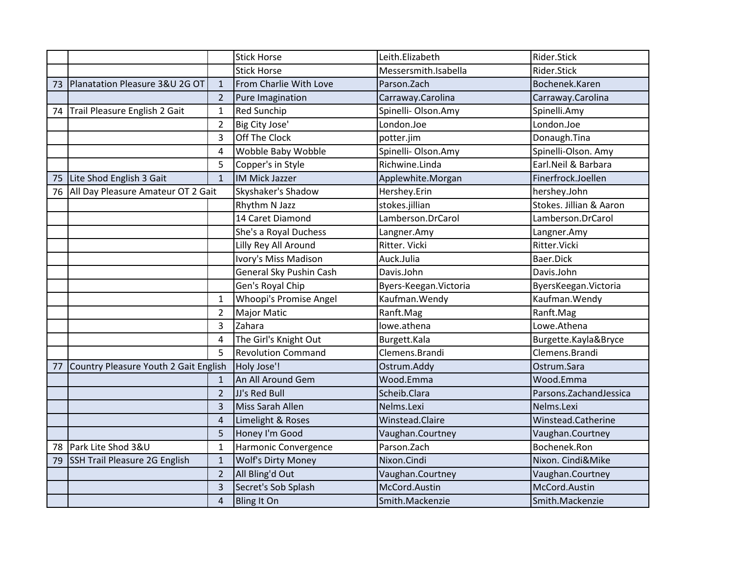|    |                                       |                | <b>Stick Horse</b>            | Leith.Elizabeth        | Rider.Stick              |
|----|---------------------------------------|----------------|-------------------------------|------------------------|--------------------------|
|    |                                       |                | <b>Stick Horse</b>            | Messersmith.Isabella   | Rider.Stick              |
| 73 | Planatation Pleasure 3&U 2G OT        | $\mathbf{1}$   | From Charlie With Love        | Parson.Zach            | Bochenek.Karen           |
|    |                                       | $\overline{2}$ | Pure Imagination              | Carraway.Carolina      | Carraway.Carolina        |
| 74 | Trail Pleasure English 2 Gait         | $\mathbf{1}$   | <b>Red Sunchip</b>            | Spinelli- Olson.Amy    | Spinelli.Amy             |
|    |                                       | $\overline{2}$ | Big City Jose'                | London.Joe             | London.Joe               |
|    |                                       | 3              | Off The Clock                 | potter.jim             | Donaugh.Tina             |
|    |                                       | $\overline{4}$ | Wobble Baby Wobble            | Spinelli- Olson.Amy    | Spinelli-Olson. Amy      |
|    |                                       | 5              | Copper's in Style             | Richwine.Linda         | Earl.Neil & Barbara      |
| 75 | Lite Shod English 3 Gait              | $\mathbf{1}$   | <b>IM Mick Jazzer</b>         | Applewhite.Morgan      | Finerfrock.Joellen       |
| 76 | All Day Pleasure Amateur OT 2 Gait    |                | Skyshaker's Shadow            | Hershey.Erin           | hershey.John             |
|    |                                       |                | Rhythm N Jazz                 | stokes.jillian         | Stokes. Jillian & Aaron  |
|    |                                       |                | 14 Caret Diamond              | Lamberson.DrCarol      | Lamberson.DrCarol        |
|    |                                       |                | She's a Royal Duchess         | Langner.Amy            | Langner.Amy              |
|    |                                       |                | Lilly Rey All Around          | Ritter. Vicki          | Ritter. Vicki            |
|    |                                       |                | Ivory's Miss Madison          | Auck.Julia             | Baer.Dick                |
|    |                                       |                | General Sky Pushin Cash       | Davis.John             | Davis.John               |
|    |                                       |                | Gen's Royal Chip              | Byers-Keegan. Victoria | ByersKeegan. Victoria    |
|    |                                       | $\mathbf{1}$   | <b>Whoopi's Promise Angel</b> | Kaufman. Wendy         | Kaufman. Wendy           |
|    |                                       | $\overline{2}$ | <b>Major Matic</b>            | Ranft.Mag              | Ranft.Mag                |
|    |                                       | 3              | Zahara                        | lowe.athena            | Lowe.Athena              |
|    |                                       | 4              | The Girl's Knight Out         | Burgett.Kala           | Burgette.Kayla&Bryce     |
|    |                                       | 5              | <b>Revolution Command</b>     | Clemens.Brandi         | Clemens.Brandi           |
| 77 | Country Pleasure Youth 2 Gait English |                | Holy Jose'!                   | Ostrum.Addy            | Ostrum.Sara              |
|    |                                       | $\mathbf{1}$   | An All Around Gem             | Wood.Emma              | Wood.Emma                |
|    |                                       | $\overline{2}$ | JJ's Red Bull                 | Scheib.Clara           | Parsons. Zachand Jessica |
|    |                                       | 3              | Miss Sarah Allen              | Nelms.Lexi             | Nelms.Lexi               |
|    |                                       | 4              | Limelight & Roses             | Winstead.Claire        | Winstead.Catherine       |
|    |                                       | 5              | Honey I'm Good                | Vaughan.Courtney       | Vaughan.Courtney         |
| 78 | Park Lite Shod 3&U                    | $\mathbf{1}$   | Harmonic Convergence          | Parson.Zach            | Bochenek.Ron             |
| 79 | SSH Trail Pleasure 2G English         | $\mathbf{1}$   | <b>Wolf's Dirty Money</b>     | Nixon.Cindi            | Nixon. Cindi&Mike        |
|    |                                       | $\overline{2}$ | All Bling'd Out               | Vaughan.Courtney       | Vaughan.Courtney         |
|    |                                       | 3              | Secret's Sob Splash           | McCord.Austin          | McCord.Austin            |
|    |                                       | 4              | <b>Bling It On</b>            | Smith.Mackenzie        | Smith.Mackenzie          |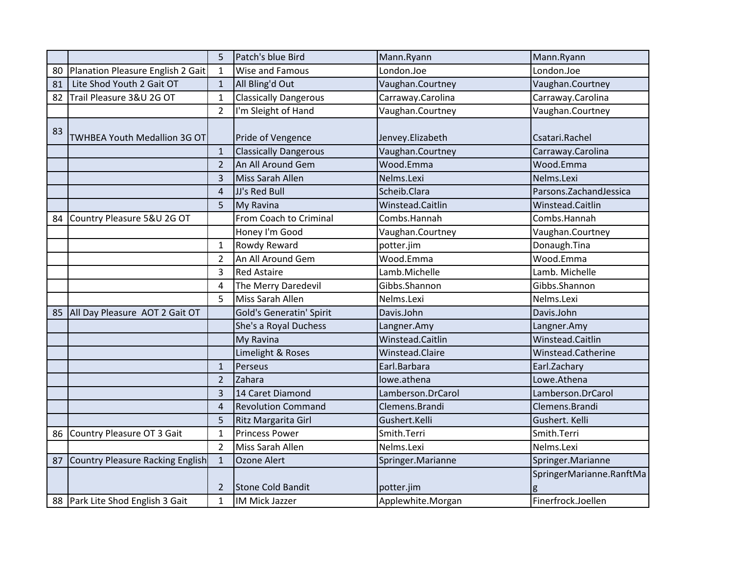|    |                                     | 5              | Patch's blue Bird               | Mann.Ryann        | Mann.Ryann               |
|----|-------------------------------------|----------------|---------------------------------|-------------------|--------------------------|
| 80 | Planation Pleasure English 2 Gait   | 1              | <b>Wise and Famous</b>          | London.Joe        | London.Joe               |
| 81 | Lite Shod Youth 2 Gait OT           | $\mathbf{1}$   | All Bling'd Out                 | Vaughan.Courtney  | Vaughan.Courtney         |
| 82 | Trail Pleasure 3&U 2G OT            | $\mathbf{1}$   | <b>Classically Dangerous</b>    | Carraway.Carolina | Carraway.Carolina        |
|    |                                     | $\overline{2}$ | I'm Sleight of Hand             | Vaughan.Courtney  | Vaughan.Courtney         |
| 83 | <b>TWHBEA Youth Medallion 3G OT</b> |                | Pride of Vengence               | Jenvey.Elizabeth  | Csatari.Rachel           |
|    |                                     | $\mathbf{1}$   | <b>Classically Dangerous</b>    | Vaughan.Courtney  | Carraway.Carolina        |
|    |                                     | $\overline{2}$ | An All Around Gem               | Wood.Emma         | Wood.Emma                |
|    |                                     | 3              | Miss Sarah Allen                | Nelms.Lexi        | Nelms.Lexi               |
|    |                                     | 4              | JJ's Red Bull                   | Scheib.Clara      | Parsons. Zachand Jessica |
|    |                                     | 5              | My Ravina                       | Winstead.Caitlin  | Winstead.Caitlin         |
| 84 | Country Pleasure 5&U 2G OT          |                | From Coach to Criminal          | Combs.Hannah      | Combs.Hannah             |
|    |                                     |                | Honey I'm Good                  | Vaughan.Courtney  | Vaughan.Courtney         |
|    |                                     | 1              | Rowdy Reward                    | potter.jim        | Donaugh.Tina             |
|    |                                     | $\overline{2}$ | An All Around Gem               | Wood.Emma         | Wood.Emma                |
|    |                                     | 3              | <b>Red Astaire</b>              | Lamb.Michelle     | Lamb. Michelle           |
|    |                                     | 4              | The Merry Daredevil             | Gibbs.Shannon     | Gibbs.Shannon            |
|    |                                     | 5              | Miss Sarah Allen                | Nelms.Lexi        | Nelms.Lexi               |
| 85 | All Day Pleasure AOT 2 Gait OT      |                | <b>Gold's Generatin' Spirit</b> | Davis.John        | Davis.John               |
|    |                                     |                | She's a Royal Duchess           | Langner.Amy       | Langner.Amy              |
|    |                                     |                | My Ravina                       | Winstead.Caitlin  | Winstead.Caitlin         |
|    |                                     |                | Limelight & Roses               | Winstead.Claire   | Winstead.Catherine       |
|    |                                     | $\mathbf{1}$   | Perseus                         | Earl.Barbara      | Earl.Zachary             |
|    |                                     | $\overline{2}$ | Zahara                          | lowe.athena       | Lowe.Athena              |
|    |                                     | 3              | 14 Caret Diamond                | Lamberson.DrCarol | Lamberson.DrCarol        |
|    |                                     | 4              | <b>Revolution Command</b>       | Clemens.Brandi    | Clemens.Brandi           |
|    |                                     | 5              | Ritz Margarita Girl             | Gushert.Kelli     | Gushert. Kelli           |
| 86 | Country Pleasure OT 3 Gait          | 1              | <b>Princess Power</b>           | Smith.Terri       | Smith.Terri              |
|    |                                     | $\overline{2}$ | Miss Sarah Allen                | Nelms.Lexi        | Nelms.Lexi               |
| 87 | Country Pleasure Racking English    | $\mathbf{1}$   | Ozone Alert                     | Springer.Marianne | Springer.Marianne        |
|    |                                     | 2              | <b>Stone Cold Bandit</b>        | potter.jim        | SpringerMarianne.RanftMa |
|    | 88   Park Lite Shod English 3 Gait  | 1              | IM Mick Jazzer                  | Applewhite.Morgan | Finerfrock.Joellen       |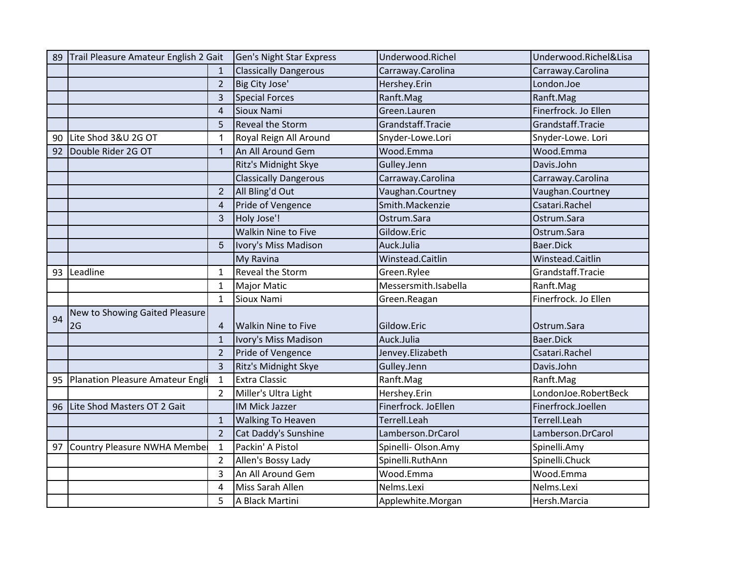| 89 | Trail Pleasure Amateur English 2 Gait |                            | Gen's Night Star Express     | Underwood.Richel     | Underwood.Richel&Lisa |
|----|---------------------------------------|----------------------------|------------------------------|----------------------|-----------------------|
|    |                                       | $\mathbf{1}$               | <b>Classically Dangerous</b> | Carraway.Carolina    | Carraway.Carolina     |
|    |                                       | $\overline{2}$             | Big City Jose'               | Hershey.Erin         | London.Joe            |
|    |                                       | $\overline{3}$             | <b>Special Forces</b>        | Ranft.Mag            | Ranft.Mag             |
|    |                                       | $\boldsymbol{\mathcal{L}}$ | Sioux Nami                   | Green.Lauren         | Finerfrock. Jo Ellen  |
|    |                                       | 5                          | Reveal the Storm             | Grandstaff.Tracie    | Grandstaff.Tracie     |
| 90 | Lite Shod 3&U 2G OT                   | -1                         | Royal Reign All Around       | Snyder-Lowe.Lori     | Snyder-Lowe. Lori     |
| 92 | Double Rider 2G OT                    | $\overline{1}$             | An All Around Gem            | Wood.Emma            | Wood.Emma             |
|    |                                       |                            | Ritz's Midnight Skye         | Gulley.Jenn          | Davis.John            |
|    |                                       |                            | <b>Classically Dangerous</b> | Carraway.Carolina    | Carraway.Carolina     |
|    |                                       | $\overline{2}$             | All Bling'd Out              | Vaughan.Courtney     | Vaughan.Courtney      |
|    |                                       | $\overline{4}$             | Pride of Vengence            | Smith.Mackenzie      | Csatari.Rachel        |
|    |                                       | 3                          | Holy Jose'!                  | Ostrum.Sara          | Ostrum.Sara           |
|    |                                       |                            | <b>Walkin Nine to Five</b>   | Gildow.Eric          | Ostrum.Sara           |
|    |                                       | 5                          | Ivory's Miss Madison         | Auck.Julia           | Baer.Dick             |
|    |                                       |                            | My Ravina                    | Winstead.Caitlin     | Winstead.Caitlin      |
| 93 | Leadline                              | 1                          | Reveal the Storm             | Green.Rylee          | Grandstaff.Tracie     |
|    |                                       | $\mathbf{1}$               | <b>Major Matic</b>           | Messersmith.Isabella | Ranft.Mag             |
|    |                                       | $\mathbf{1}$               | Sioux Nami                   | Green.Reagan         | Finerfrock. Jo Ellen  |
| 94 | New to Showing Gaited Pleasure        |                            |                              |                      |                       |
|    | 2G                                    | 4                          | <b>Walkin Nine to Five</b>   | Gildow.Eric          | Ostrum.Sara           |
|    |                                       | $\mathbf{1}$               | Ivory's Miss Madison         | Auck.Julia           | Baer.Dick             |
|    |                                       | $\overline{2}$             | Pride of Vengence            | Jenvey.Elizabeth     | Csatari.Rachel        |
|    |                                       | $\overline{3}$             | Ritz's Midnight Skye         | Gulley.Jenn          | Davis.John            |
| 95 | Planation Pleasure Amateur Engl       | $\mathbf{1}$               | <b>Extra Classic</b>         | Ranft.Mag            | Ranft.Mag             |
|    |                                       | 2                          | Miller's Ultra Light         | Hershey.Erin         | LondonJoe.RobertBeck  |
| 96 | Lite Shod Masters OT 2 Gait           |                            | <b>IM Mick Jazzer</b>        | Finerfrock. JoEllen  | Finerfrock.Joellen    |
|    |                                       | $\mathbf{1}$               | <b>Walking To Heaven</b>     | Terrell.Leah         | Terrell.Leah          |
|    |                                       | $\overline{2}$             | Cat Daddy's Sunshine         | Lamberson.DrCarol    | Lamberson.DrCarol     |
| 97 | Country Pleasure NWHA Membe           | $\mathbf{1}$               | Packin' A Pistol             | Spinelli- Olson.Amy  | Spinelli.Amy          |
|    |                                       | $\overline{2}$             | Allen's Bossy Lady           | Spinelli.RuthAnn     | Spinelli.Chuck        |
|    |                                       | 3                          | An All Around Gem            | Wood.Emma            | Wood.Emma             |
|    |                                       | 4                          | Miss Sarah Allen             | Nelms.Lexi           | Nelms.Lexi            |
|    |                                       | 5                          | A Black Martini              | Applewhite.Morgan    | Hersh.Marcia          |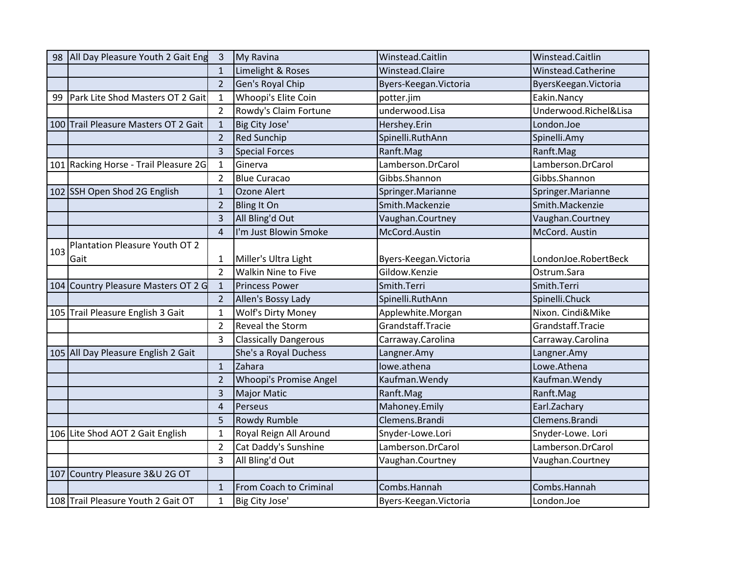| 98  | All Day Pleasure Youth 2 Gait Eng     | $\mathbf{3}$   | My Ravina                     | Winstead.Caitlin       | Winstead.Caitlin      |
|-----|---------------------------------------|----------------|-------------------------------|------------------------|-----------------------|
|     |                                       | $\mathbf{1}$   | Limelight & Roses             | Winstead.Claire        | Winstead.Catherine    |
|     |                                       | $\overline{2}$ | Gen's Royal Chip              | Byers-Keegan. Victoria | ByersKeegan. Victoria |
| 99  | Park Lite Shod Masters OT 2 Gait      | 1              | Whoopi's Elite Coin           | potter.jim             | Eakin.Nancy           |
|     |                                       | 2              | Rowdy's Claim Fortune         | underwood.Lisa         | Underwood.Richel&Lisa |
|     | 100 Trail Pleasure Masters OT 2 Gait  | $\mathbf{1}$   | Big City Jose'                | Hershey.Erin           | London.Joe            |
|     |                                       | $\overline{2}$ | <b>Red Sunchip</b>            | Spinelli.RuthAnn       | Spinelli.Amy          |
|     |                                       | 3              | <b>Special Forces</b>         | Ranft.Mag              | Ranft.Mag             |
|     | 101 Racking Horse - Trail Pleasure 2G | $\mathbf{1}$   | Ginerva                       | Lamberson.DrCarol      | Lamberson.DrCarol     |
|     |                                       | $\overline{2}$ | <b>Blue Curacao</b>           | Gibbs.Shannon          | Gibbs.Shannon         |
|     | 102 SSH Open Shod 2G English          | $\mathbf{1}$   | Ozone Alert                   | Springer.Marianne      | Springer.Marianne     |
|     |                                       | $\overline{2}$ | <b>Bling It On</b>            | Smith.Mackenzie        | Smith.Mackenzie       |
|     |                                       | 3              | All Bling'd Out               | Vaughan.Courtney       | Vaughan.Courtney      |
|     |                                       | $\overline{a}$ | I'm Just Blowin Smoke         | McCord.Austin          | McCord. Austin        |
| 103 | Plantation Pleasure Youth OT 2        |                |                               |                        |                       |
|     | Gait                                  | 1              | Miller's Ultra Light          | Byers-Keegan. Victoria | LondonJoe.RobertBeck  |
|     |                                       | $\overline{2}$ | <b>Walkin Nine to Five</b>    | Gildow.Kenzie          | Ostrum.Sara           |
|     | 104 Country Pleasure Masters OT 2 G   | $\mathbf{1}$   | <b>Princess Power</b>         | Smith.Terri            | Smith.Terri           |
|     |                                       | $\overline{2}$ | Allen's Bossy Lady            | Spinelli.RuthAnn       | Spinelli.Chuck        |
|     | 105 Trail Pleasure English 3 Gait     | 1              | <b>Wolf's Dirty Money</b>     | Applewhite.Morgan      | Nixon. Cindi&Mike     |
|     |                                       | $\overline{2}$ | Reveal the Storm              | Grandstaff.Tracie      | Grandstaff.Tracie     |
|     |                                       | 3              | <b>Classically Dangerous</b>  | Carraway.Carolina      | Carraway.Carolina     |
|     | 105 All Day Pleasure English 2 Gait   |                | She's a Royal Duchess         | Langner.Amy            | Langner.Amy           |
|     |                                       | $\mathbf{1}$   | Zahara                        | lowe.athena            | Lowe.Athena           |
|     |                                       | $\overline{2}$ | <b>Whoopi's Promise Angel</b> | Kaufman. Wendy         | Kaufman. Wendy        |
|     |                                       | 3              | <b>Major Matic</b>            | Ranft.Mag              | Ranft.Mag             |
|     |                                       | 4              | Perseus                       | Mahoney.Emily          | Earl.Zachary          |
|     |                                       | 5              | Rowdy Rumble                  | Clemens.Brandi         | Clemens.Brandi        |
|     | 106 Lite Shod AOT 2 Gait English      | $\mathbf{1}$   | Royal Reign All Around        | Snyder-Lowe.Lori       | Snyder-Lowe. Lori     |
|     |                                       | $\overline{2}$ | Cat Daddy's Sunshine          | Lamberson.DrCarol      | Lamberson.DrCarol     |
|     |                                       | 3              | All Bling'd Out               | Vaughan.Courtney       | Vaughan.Courtney      |
|     | 107 Country Pleasure 3&U 2G OT        |                |                               |                        |                       |
|     |                                       | $\mathbf{1}$   | From Coach to Criminal        | Combs.Hannah           | Combs.Hannah          |
|     | 108 Trail Pleasure Youth 2 Gait OT    | $\mathbf{1}$   | Big City Jose'                | Byers-Keegan. Victoria | London.Joe            |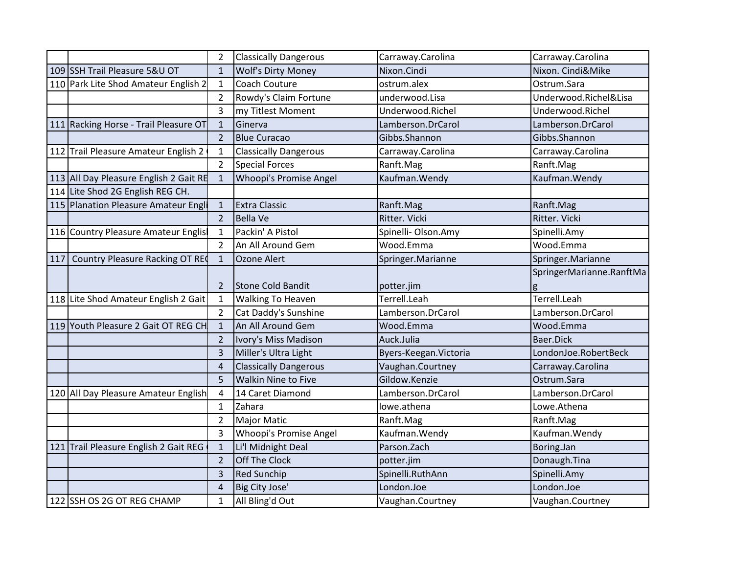|     |                                        | $\overline{2}$ | <b>Classically Dangerous</b> | Carraway.Carolina      | Carraway.Carolina        |
|-----|----------------------------------------|----------------|------------------------------|------------------------|--------------------------|
|     | 109 SSH Trail Pleasure 5&U OT          | $\mathbf{1}$   | <b>Wolf's Dirty Money</b>    | Nixon.Cindi            | Nixon. Cindi&Mike        |
|     | 110 Park Lite Shod Amateur English 2   | $\mathbf{1}$   | Coach Couture                | ostrum.alex            | Ostrum.Sara              |
|     |                                        | $\overline{2}$ | Rowdy's Claim Fortune        | underwood.Lisa         | Underwood.Richel&Lisa    |
|     |                                        | 3              | my Titlest Moment            | Underwood.Richel       | Underwood.Richel         |
|     | 111 Racking Horse - Trail Pleasure OT  | $\mathbf{1}$   | Ginerva                      | Lamberson.DrCarol      | Lamberson.DrCarol        |
|     |                                        | $\overline{2}$ | <b>Blue Curacao</b>          | Gibbs.Shannon          | Gibbs.Shannon            |
|     | 112 Trail Pleasure Amateur English 2   | 1              | <b>Classically Dangerous</b> | Carraway.Carolina      | Carraway.Carolina        |
|     |                                        | $\overline{2}$ | <b>Special Forces</b>        | Ranft.Mag              | Ranft.Mag                |
|     | 113 All Day Pleasure English 2 Gait RE | $\mathbf{1}$   | Whoopi's Promise Angel       | Kaufman. Wendy         | Kaufman. Wendy           |
|     | 114 Lite Shod 2G English REG CH.       |                |                              |                        |                          |
|     | 115 Planation Pleasure Amateur Engli   | $\mathbf{1}$   | <b>Extra Classic</b>         | Ranft.Mag              | Ranft.Mag                |
|     |                                        | $\overline{2}$ | <b>Bella Ve</b>              | Ritter. Vicki          | Ritter. Vicki            |
|     | 116 Country Pleasure Amateur Englis    | 1              | Packin' A Pistol             | Spinelli- Olson.Amy    | Spinelli.Amy             |
|     |                                        | $\overline{2}$ | An All Around Gem            | Wood.Emma              | Wood.Emma                |
| 117 | Country Pleasure Racking OT REC        | 1              | Ozone Alert                  | Springer.Marianne      | Springer.Marianne        |
|     |                                        |                |                              |                        | SpringerMarianne.RanftMa |
|     |                                        | 2              | <b>Stone Cold Bandit</b>     | potter.jim             | g                        |
|     |                                        |                |                              |                        |                          |
|     | 118 Lite Shod Amateur English 2 Gait   | $\mathbf{1}$   | <b>Walking To Heaven</b>     | Terrell.Leah           | Terrell.Leah             |
|     |                                        | $\overline{2}$ | Cat Daddy's Sunshine         | Lamberson.DrCarol      | Lamberson.DrCarol        |
|     | 119 Youth Pleasure 2 Gait OT REG CH    | $\mathbf{1}$   | An All Around Gem            | Wood.Emma              | Wood.Emma                |
|     |                                        | $\overline{2}$ | Ivory's Miss Madison         | Auck.Julia             | Baer.Dick                |
|     |                                        | 3              | Miller's Ultra Light         | Byers-Keegan. Victoria | LondonJoe.RobertBeck     |
|     |                                        | 4              | <b>Classically Dangerous</b> | Vaughan.Courtney       | Carraway.Carolina        |
|     |                                        | 5              | <b>Walkin Nine to Five</b>   | Gildow.Kenzie          | Ostrum.Sara              |
|     | 120 All Day Pleasure Amateur English   | 4              | 14 Caret Diamond             | Lamberson.DrCarol      | Lamberson.DrCarol        |
|     |                                        | 1              | Zahara                       | lowe.athena            | Lowe.Athena              |
|     |                                        | $\overline{2}$ | <b>Major Matic</b>           | Ranft.Mag              | Ranft.Mag                |
|     |                                        | 3              | Whoopi's Promise Angel       | Kaufman. Wendy         | Kaufman. Wendy           |
|     | 121 Trail Pleasure English 2 Gait REG  | $\mathbf{1}$   | Li'l Midnight Deal           | Parson.Zach            | Boring.Jan               |
|     |                                        | $\overline{2}$ | Off The Clock                | potter.jim             | Donaugh.Tina             |
|     |                                        | 3              | <b>Red Sunchip</b>           | Spinelli.RuthAnn       | Spinelli.Amy             |
|     |                                        | $\overline{4}$ | Big City Jose'               | London.Joe             | London.Joe               |